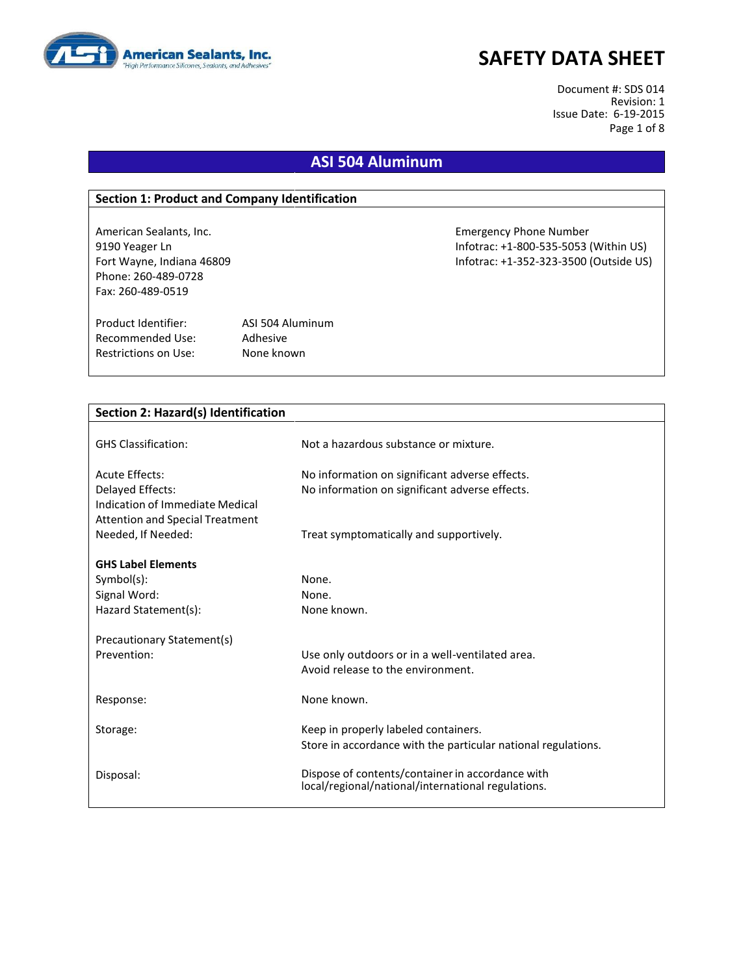

Document #: SDS 014 Revision: 1 Issue Date: 6-19-2015 Page 1 of 8

### **ASI 504 Aluminum**

#### **Section 1: Product and Company Identification**

Phone: 260-489-0728 Fax: 260-489-0519

Product Identifier: ASI 504 Aluminum Recommended Use: Adhesive Restrictions on Use: None known

American Sealants, Inc. Emergency Phone Number 9190 Yeager Ln Infotrac: +1-800-535-5053 (Within US) Fort Wayne, Indiana 46809 Infotrac: +1-352-323-3500 (Outside US)

**Section 2: Hazard(s) Identification**

| <b>GHS Classification:</b>                                   | Not a hazardous substance or mixture.                                                                  |
|--------------------------------------------------------------|--------------------------------------------------------------------------------------------------------|
| <b>Acute Effects:</b>                                        | No information on significant adverse effects.                                                         |
| Delayed Effects:                                             | No information on significant adverse effects.                                                         |
| Indication of Immediate Medical                              |                                                                                                        |
| <b>Attention and Special Treatment</b><br>Needed, If Needed: | Treat symptomatically and supportively.                                                                |
|                                                              |                                                                                                        |
| <b>GHS Label Elements</b>                                    |                                                                                                        |
| Symbol(s):                                                   | None.                                                                                                  |
| Signal Word:                                                 | None.                                                                                                  |
| Hazard Statement(s):                                         | None known.                                                                                            |
| Precautionary Statement(s)                                   |                                                                                                        |
| Prevention:                                                  | Use only outdoors or in a well-ventilated area.                                                        |
|                                                              | Avoid release to the environment.                                                                      |
|                                                              |                                                                                                        |
| Response:                                                    | None known.                                                                                            |
| Storage:                                                     | Keep in properly labeled containers.                                                                   |
|                                                              | Store in accordance with the particular national regulations.                                          |
|                                                              |                                                                                                        |
| Disposal:                                                    | Dispose of contents/container in accordance with<br>local/regional/national/international regulations. |
|                                                              |                                                                                                        |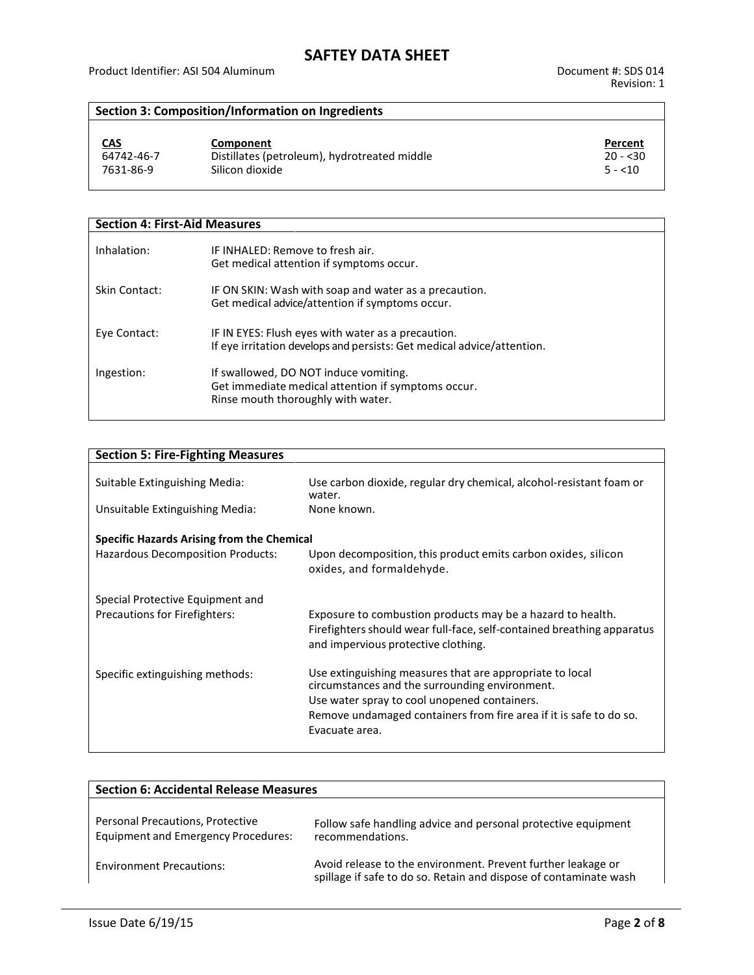### **Section 3: Composition/Information on Ingredients**

| <u>CAS</u> | Component                                    | Percent   |
|------------|----------------------------------------------|-----------|
| 64742-46-7 | Distillates (petroleum), hydrotreated middle | $20 - 30$ |
| 7631-86-9  | Silicon dioxide                              | $5 - 10$  |

| <b>Section 4: First-Aid Measures</b> |                                                                                                                                   |  |
|--------------------------------------|-----------------------------------------------------------------------------------------------------------------------------------|--|
| Inhalation:                          | IF INHALED: Remove to fresh air.<br>Get medical attention if symptoms occur.                                                      |  |
| Skin Contact:                        | IF ON SKIN: Wash with soap and water as a precaution.<br>Get medical advice/attention if symptoms occur.                          |  |
| Eye Contact:                         | IF IN EYES: Flush eyes with water as a precaution.<br>If eye irritation develops and persists: Get medical advice/attention.      |  |
| Ingestion:                           | If swallowed, DO NOT induce vomiting.<br>Get immediate medical attention if symptoms occur.<br>Rinse mouth thoroughly with water. |  |

| <b>Section 5: Fire-Fighting Measures</b>          |                                                                                                                                                                             |  |
|---------------------------------------------------|-----------------------------------------------------------------------------------------------------------------------------------------------------------------------------|--|
| Suitable Extinguishing Media:                     | Use carbon dioxide, regular dry chemical, alcohol-resistant foam or<br>water.                                                                                               |  |
| Unsuitable Extinguishing Media:                   | None known.                                                                                                                                                                 |  |
| <b>Specific Hazards Arising from the Chemical</b> |                                                                                                                                                                             |  |
| <b>Hazardous Decomposition Products:</b>          | Upon decomposition, this product emits carbon oxides, silicon<br>oxides, and formaldehyde.                                                                                  |  |
| Special Protective Equipment and                  |                                                                                                                                                                             |  |
| <b>Precautions for Firefighters:</b>              | Exposure to combustion products may be a hazard to health.<br>Firefighters should wear full-face, self-contained breathing apparatus<br>and impervious protective clothing. |  |
| Specific extinguishing methods:                   | Use extinguishing measures that are appropriate to local<br>circumstances and the surrounding environment.                                                                  |  |
|                                                   | Use water spray to cool unopened containers.                                                                                                                                |  |
|                                                   | Remove undamaged containers from fire area if it is safe to do so.                                                                                                          |  |
|                                                   | Evacuate area.                                                                                                                                                              |  |

| <b>Section 6: Accidental Release Measures</b>                                  |                                                                                                                                   |  |
|--------------------------------------------------------------------------------|-----------------------------------------------------------------------------------------------------------------------------------|--|
| Personal Precautions, Protective<br><b>Equipment and Emergency Procedures:</b> | Follow safe handling advice and personal protective equipment<br>recommendations.                                                 |  |
| <b>Environment Precautions:</b>                                                | Avoid release to the environment. Prevent further leakage or<br>spillage if safe to do so. Retain and dispose of contaminate wash |  |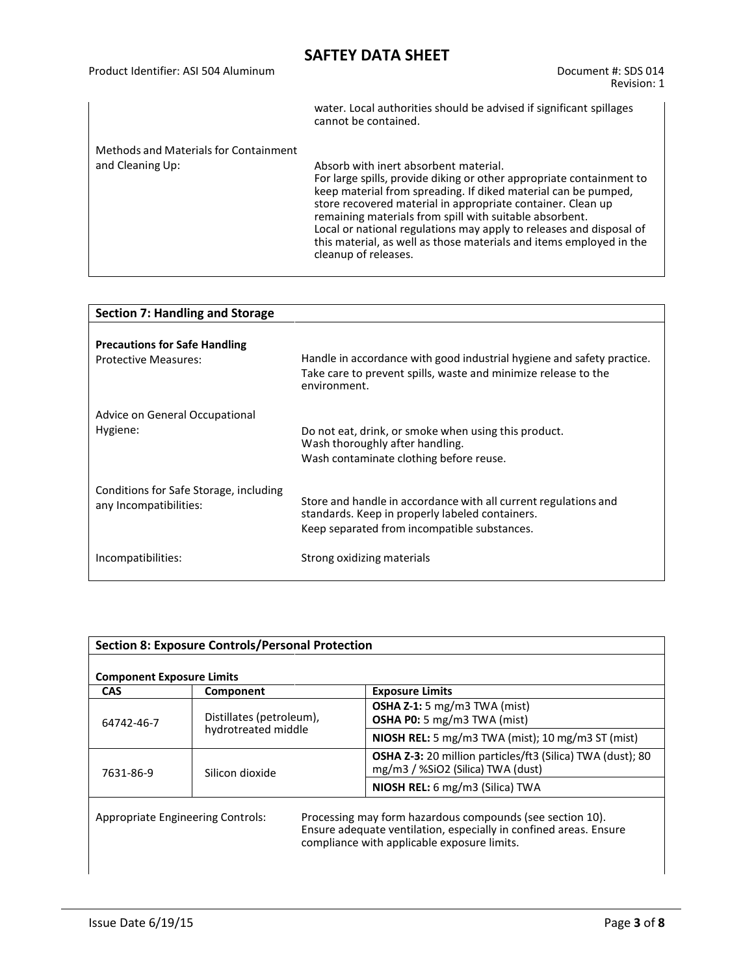| Product Identifier: ASI 504 Aluminum                      | Document #: SDS 014<br>Revision: 1                                                                                                                                                                                                                                                                                                                                                                                                                                              |
|-----------------------------------------------------------|---------------------------------------------------------------------------------------------------------------------------------------------------------------------------------------------------------------------------------------------------------------------------------------------------------------------------------------------------------------------------------------------------------------------------------------------------------------------------------|
|                                                           | water. Local authorities should be advised if significant spillages<br>cannot be contained.                                                                                                                                                                                                                                                                                                                                                                                     |
| Methods and Materials for Containment<br>and Cleaning Up: | Absorb with inert absorbent material.<br>For large spills, provide diking or other appropriate containment to<br>keep material from spreading. If diked material can be pumped,<br>store recovered material in appropriate container. Clean up<br>remaining materials from spill with suitable absorbent.<br>Local or national regulations may apply to releases and disposal of<br>this material, as well as those materials and items employed in the<br>cleanup of releases. |

| <b>Section 7: Handling and Storage</b>                              |                                                                                                                                                                    |  |
|---------------------------------------------------------------------|--------------------------------------------------------------------------------------------------------------------------------------------------------------------|--|
| <b>Precautions for Safe Handling</b><br><b>Protective Measures:</b> | Handle in accordance with good industrial hygiene and safety practice.<br>Take care to prevent spills, waste and minimize release to the<br>environment.           |  |
| Advice on General Occupational<br>Hygiene:                          | Do not eat, drink, or smoke when using this product.<br>Wash thoroughly after handling.<br>Wash contaminate clothing before reuse.                                 |  |
| Conditions for Safe Storage, including<br>any Incompatibilities:    | Store and handle in accordance with all current regulations and<br>standards. Keep in properly labeled containers.<br>Keep separated from incompatible substances. |  |
| Incompatibilities:                                                  | Strong oxidizing materials                                                                                                                                         |  |

| <b>Section 8: Exposure Controls/Personal Protection</b><br><b>Component Exposure Limits</b>                                                                                                                               |                          |                                                                                                        |
|---------------------------------------------------------------------------------------------------------------------------------------------------------------------------------------------------------------------------|--------------------------|--------------------------------------------------------------------------------------------------------|
|                                                                                                                                                                                                                           |                          |                                                                                                        |
|                                                                                                                                                                                                                           |                          | OSHA Z-1: 5 mg/m3 TWA (mist)                                                                           |
| 64742-46-7                                                                                                                                                                                                                | Distillates (petroleum), | <b>OSHA P0:</b> 5 mg/m3 TWA (mist)                                                                     |
|                                                                                                                                                                                                                           | hydrotreated middle      | <b>NIOSH REL:</b> 5 mg/m3 TWA (mist); 10 mg/m3 ST (mist)                                               |
| 7631-86-9                                                                                                                                                                                                                 | Silicon dioxide          | <b>OSHA Z-3:</b> 20 million particles/ft3 (Silica) TWA (dust); 80<br>mg/m3 / %SiO2 (Silica) TWA (dust) |
|                                                                                                                                                                                                                           |                          | NIOSH REL: 6 mg/m3 (Silica) TWA                                                                        |
| Processing may form hazardous compounds (see section 10).<br><b>Appropriate Engineering Controls:</b><br>Ensure adequate ventilation, especially in confined areas. Ensure<br>compliance with applicable exposure limits. |                          |                                                                                                        |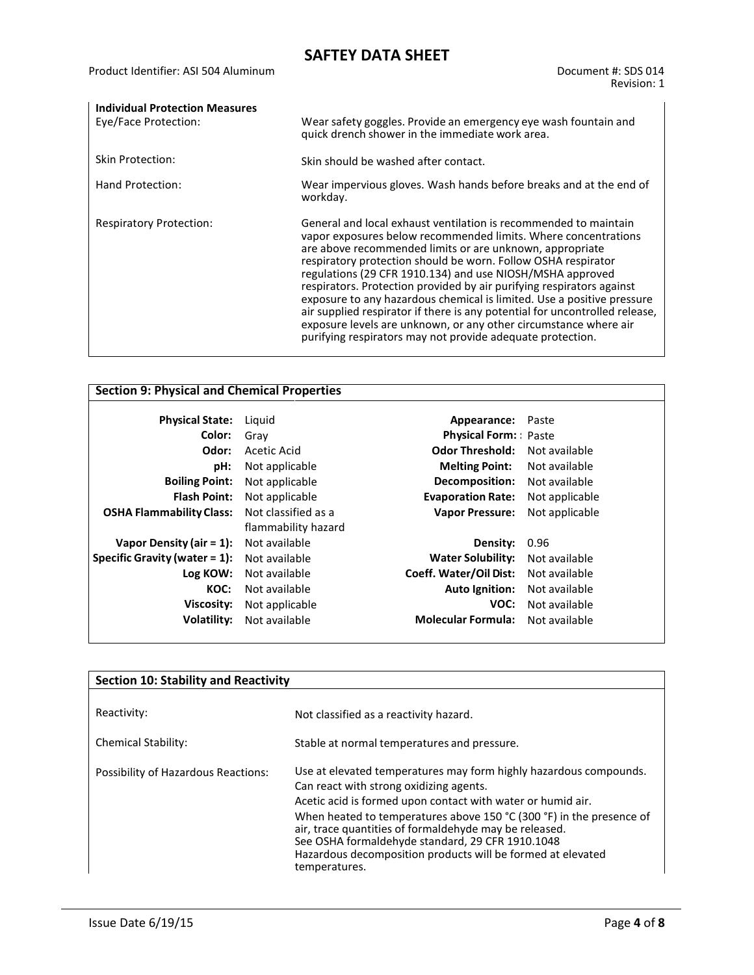| <b>Individual Protection Measures</b> |                                                                                                                                                                                                                                                                                                                                                                                                                                                                                                                                                                                                                                                                                                  |
|---------------------------------------|--------------------------------------------------------------------------------------------------------------------------------------------------------------------------------------------------------------------------------------------------------------------------------------------------------------------------------------------------------------------------------------------------------------------------------------------------------------------------------------------------------------------------------------------------------------------------------------------------------------------------------------------------------------------------------------------------|
| Eye/Face Protection:                  | Wear safety goggles. Provide an emergency eye wash fountain and<br>quick drench shower in the immediate work area.                                                                                                                                                                                                                                                                                                                                                                                                                                                                                                                                                                               |
| Skin Protection:                      | Skin should be washed after contact.                                                                                                                                                                                                                                                                                                                                                                                                                                                                                                                                                                                                                                                             |
| Hand Protection:                      | Wear impervious gloves. Wash hands before breaks and at the end of<br>workday.                                                                                                                                                                                                                                                                                                                                                                                                                                                                                                                                                                                                                   |
| <b>Respiratory Protection:</b>        | General and local exhaust ventilation is recommended to maintain<br>vapor exposures below recommended limits. Where concentrations<br>are above recommended limits or are unknown, appropriate<br>respiratory protection should be worn. Follow OSHA respirator<br>regulations (29 CFR 1910.134) and use NIOSH/MSHA approved<br>respirators. Protection provided by air purifying respirators against<br>exposure to any hazardous chemical is limited. Use a positive pressure<br>air supplied respirator if there is any potential for uncontrolled release,<br>exposure levels are unknown, or any other circumstance where air<br>purifying respirators may not provide adequate protection. |

| <b>Section 9: Physical and Chemical Properties</b> |                     |                             |                |
|----------------------------------------------------|---------------------|-----------------------------|----------------|
| <b>Physical State:</b>                             | Liguid              | Appearance:                 | Paste          |
| Color:                                             | Grav                | <b>Physical Form:</b> Paste |                |
| Odor:                                              | Acetic Acid         | <b>Odor Threshold:</b>      | Not available  |
| pH:                                                | Not applicable      | <b>Melting Point:</b>       | Not available  |
| <b>Boiling Point:</b>                              | Not applicable      | Decomposition:              | Not available  |
| <b>Flash Point:</b>                                | Not applicable      | <b>Evaporation Rate:</b>    | Not applicable |
| <b>OSHA Flammability Class:</b>                    | Not classified as a | <b>Vapor Pressure:</b>      | Not applicable |
|                                                    | flammability hazard |                             |                |
| Vapor Density (air $= 1$ ):                        | Not available       | Density:                    | 0.96           |
| Specific Gravity (water $= 1$ ):                   | Not available       | <b>Water Solubility:</b>    | Not available  |
| Log KOW:                                           | Not available       | Coeff. Water/Oil Dist:      | Not available  |
| KOC:                                               | Not available       | Auto Ignition:              | Not available  |
| Viscosity:                                         | Not applicable      | VOC:                        | Not available  |
| Volatility:                                        | Not available       | <b>Molecular Formula:</b>   | Not available  |
|                                                    |                     |                             |                |

| <b>Section 10: Stability and Reactivity</b> |                                                                                                                                                                                                                                                                                                                                                                                                                                                   |  |
|---------------------------------------------|---------------------------------------------------------------------------------------------------------------------------------------------------------------------------------------------------------------------------------------------------------------------------------------------------------------------------------------------------------------------------------------------------------------------------------------------------|--|
| Reactivity:                                 | Not classified as a reactivity hazard.                                                                                                                                                                                                                                                                                                                                                                                                            |  |
| Chemical Stability:                         | Stable at normal temperatures and pressure.                                                                                                                                                                                                                                                                                                                                                                                                       |  |
| Possibility of Hazardous Reactions:         | Use at elevated temperatures may form highly hazardous compounds.<br>Can react with strong oxidizing agents.<br>Acetic acid is formed upon contact with water or humid air.<br>When heated to temperatures above 150 °C (300 °F) in the presence of<br>air, trace quantities of formaldehyde may be released.<br>See OSHA formaldehyde standard, 29 CFR 1910.1048<br>Hazardous decomposition products will be formed at elevated<br>temperatures. |  |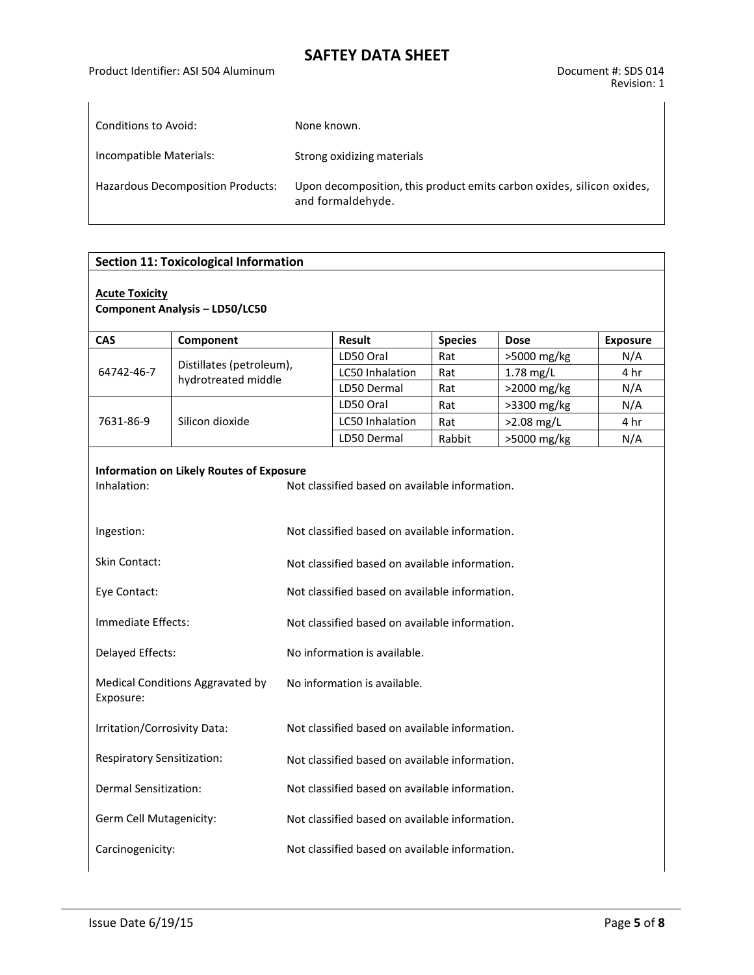| Conditions to Avoid:                     | None known.                                                                                |
|------------------------------------------|--------------------------------------------------------------------------------------------|
|                                          |                                                                                            |
| Incompatible Materials:                  | Strong oxidizing materials                                                                 |
| <b>Hazardous Decomposition Products:</b> | Upon decomposition, this product emits carbon oxides, silicon oxides,<br>and formaldehyde. |

#### **Section 11: Toxicological Information**

#### **Acute Toxicity**

**Component Analysis – LD50/LC50**

| CAS                                           | Component                                       |                                                                                                  | <b>Result</b>          | <b>Species</b> | <b>Dose</b>  | <b>Exposure</b> |  |  |  |
|-----------------------------------------------|-------------------------------------------------|--------------------------------------------------------------------------------------------------|------------------------|----------------|--------------|-----------------|--|--|--|
| 64742-46-7                                    |                                                 |                                                                                                  | LD50 Oral              | Rat            | >5000 mg/kg  | N/A             |  |  |  |
|                                               | Distillates (petroleum),<br>hydrotreated middle |                                                                                                  | LC50 Inhalation        | Rat            | 1.78 mg/L    | 4 hr            |  |  |  |
|                                               |                                                 |                                                                                                  | LD50 Dermal            | Rat            | >2000 mg/kg  | N/A             |  |  |  |
|                                               |                                                 |                                                                                                  | LD50 Oral              | Rat            | >3300 mg/kg  | N/A             |  |  |  |
| 7631-86-9                                     | Silicon dioxide                                 |                                                                                                  | <b>LC50 Inhalation</b> | Rat            | $>2.08$ mg/L | 4 hr            |  |  |  |
|                                               |                                                 |                                                                                                  | LD50 Dermal            | Rabbit         | >5000 mg/kg  | N/A             |  |  |  |
| Inhalation:<br>Ingestion:                     | <b>Information on Likely Routes of Exposure</b> | Not classified based on available information.<br>Not classified based on available information. |                        |                |              |                 |  |  |  |
| <b>Skin Contact:</b>                          |                                                 | Not classified based on available information.                                                   |                        |                |              |                 |  |  |  |
| Eye Contact:<br>Immediate Effects:            |                                                 | Not classified based on available information.<br>Not classified based on available information. |                        |                |              |                 |  |  |  |
|                                               |                                                 |                                                                                                  |                        |                |              |                 |  |  |  |
| Delayed Effects:                              |                                                 | No information is available.                                                                     |                        |                |              |                 |  |  |  |
| Medical Conditions Aggravated by<br>Exposure: |                                                 | No information is available.                                                                     |                        |                |              |                 |  |  |  |
| Irritation/Corrosivity Data:                  |                                                 | Not classified based on available information.                                                   |                        |                |              |                 |  |  |  |
| <b>Respiratory Sensitization:</b>             |                                                 | Not classified based on available information.                                                   |                        |                |              |                 |  |  |  |
| Dermal Sensitization:                         |                                                 | Not classified based on available information.                                                   |                        |                |              |                 |  |  |  |
| Germ Cell Mutagenicity:                       |                                                 | Not classified based on available information.                                                   |                        |                |              |                 |  |  |  |
| Carcinogenicity:                              |                                                 | Not classified based on available information.                                                   |                        |                |              |                 |  |  |  |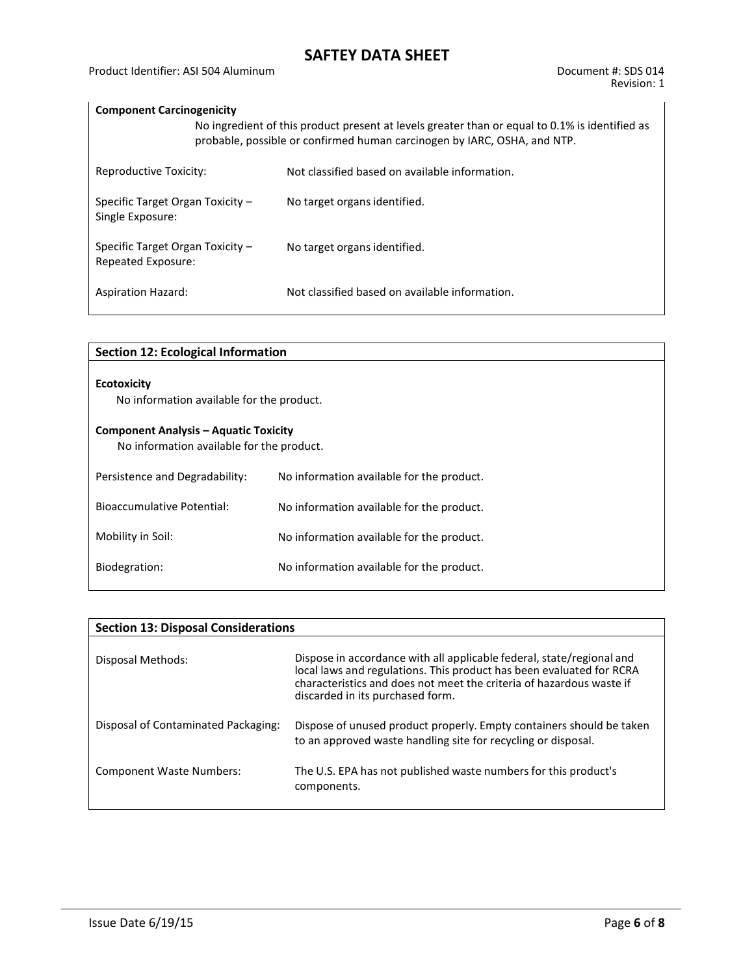### **Component Carcinogenicity**

|                                                        | No ingredient of this product present at levels greater than or equal to 0.1% is identified as<br>probable, possible or confirmed human carcinogen by IARC, OSHA, and NTP. |                                                |  |  |  |  |  |
|--------------------------------------------------------|----------------------------------------------------------------------------------------------------------------------------------------------------------------------------|------------------------------------------------|--|--|--|--|--|
| Reproductive Toxicity:                                 |                                                                                                                                                                            | Not classified based on available information. |  |  |  |  |  |
| Specific Target Organ Toxicity -<br>Single Exposure:   |                                                                                                                                                                            | No target organs identified.                   |  |  |  |  |  |
| Specific Target Organ Toxicity -<br>Repeated Exposure: |                                                                                                                                                                            | No target organs identified.                   |  |  |  |  |  |
| <b>Aspiration Hazard:</b>                              |                                                                                                                                                                            | Not classified based on available information. |  |  |  |  |  |

| <b>Section 12: Ecological Information</b>                                                 |                                           |  |  |  |
|-------------------------------------------------------------------------------------------|-------------------------------------------|--|--|--|
| <b>Ecotoxicity</b><br>No information available for the product.                           |                                           |  |  |  |
| <b>Component Analysis - Aquatic Toxicity</b><br>No information available for the product. |                                           |  |  |  |
| Persistence and Degradability:                                                            | No information available for the product. |  |  |  |
| <b>Bioaccumulative Potential:</b>                                                         | No information available for the product. |  |  |  |
| Mobility in Soil:                                                                         | No information available for the product. |  |  |  |
| Biodegration:                                                                             | No information available for the product. |  |  |  |

| <b>Section 13: Disposal Considerations</b> |                                                                                                                                                                                                                                                           |
|--------------------------------------------|-----------------------------------------------------------------------------------------------------------------------------------------------------------------------------------------------------------------------------------------------------------|
| Disposal Methods:                          | Dispose in accordance with all applicable federal, state/regional and<br>local laws and regulations. This product has been evaluated for RCRA<br>characteristics and does not meet the criteria of hazardous waste if<br>discarded in its purchased form. |
| Disposal of Contaminated Packaging:        | Dispose of unused product properly. Empty containers should be taken<br>to an approved waste handling site for recycling or disposal.                                                                                                                     |
| <b>Component Waste Numbers:</b>            | The U.S. EPA has not published waste numbers for this product's<br>components.                                                                                                                                                                            |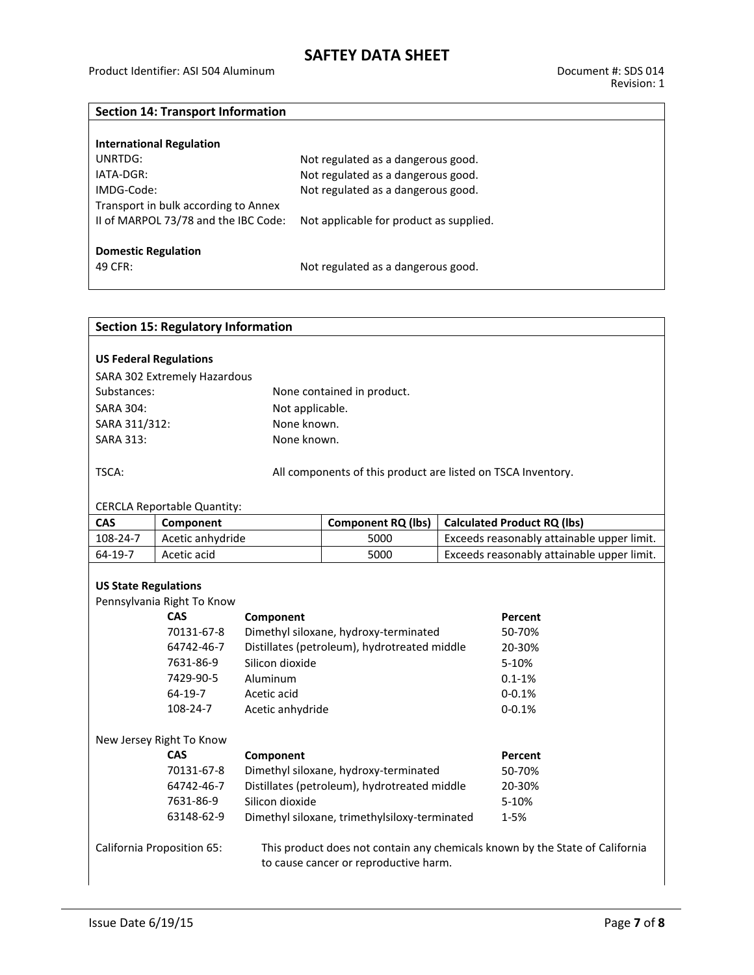### **Section 14: Transport Information**

| <b>International Regulation</b>      |                                         |
|--------------------------------------|-----------------------------------------|
| UNRTDG:                              | Not regulated as a dangerous good.      |
| IATA-DGR:                            | Not regulated as a dangerous good.      |
| IMDG-Code:                           | Not regulated as a dangerous good.      |
| Transport in bulk according to Annex |                                         |
| II of MARPOL 73/78 and the IBC Code: | Not applicable for product as supplied. |
|                                      |                                         |
| <b>Domestic Regulation</b>           |                                         |
| 49 CFR:                              | Not regulated as a dangerous good.      |
|                                      |                                         |

|                              | <b>Section 15: Regulatory Information</b>                  |                                       |                                                                              |                                            |  |  |
|------------------------------|------------------------------------------------------------|---------------------------------------|------------------------------------------------------------------------------|--------------------------------------------|--|--|
|                              | <b>US Federal Regulations</b>                              |                                       |                                                                              |                                            |  |  |
|                              | SARA 302 Extremely Hazardous                               |                                       |                                                                              |                                            |  |  |
| Substances:                  |                                                            |                                       | None contained in product.                                                   |                                            |  |  |
| <b>SARA 304:</b>             |                                                            | Not applicable.                       |                                                                              |                                            |  |  |
| SARA 311/312:                |                                                            | None known.                           |                                                                              |                                            |  |  |
| <b>SARA 313:</b>             |                                                            | None known.                           |                                                                              |                                            |  |  |
| TSCA:                        |                                                            |                                       | All components of this product are listed on TSCA Inventory.                 |                                            |  |  |
|                              | <b>CERCLA Reportable Quantity:</b>                         |                                       |                                                                              |                                            |  |  |
| <b>CAS</b>                   | Component                                                  |                                       | <b>Component RQ (lbs)</b>                                                    | <b>Calculated Product RQ (lbs)</b>         |  |  |
| 108-24-7                     | Acetic anhydride                                           |                                       | 5000                                                                         | Exceeds reasonably attainable upper limit. |  |  |
| 64-19-7                      | Acetic acid                                                |                                       | 5000                                                                         | Exceeds reasonably attainable upper limit. |  |  |
| <b>US State Regulations</b>  |                                                            |                                       |                                                                              |                                            |  |  |
|                              | Pennsylvania Right To Know                                 |                                       |                                                                              |                                            |  |  |
|                              | <b>CAS</b>                                                 | Component                             |                                                                              | Percent                                    |  |  |
|                              | 70131-67-8                                                 |                                       | Dimethyl siloxane, hydroxy-terminated                                        | 50-70%                                     |  |  |
|                              | 64742-46-7                                                 |                                       | Distillates (petroleum), hydrotreated middle                                 | 20-30%                                     |  |  |
|                              | 7631-86-9                                                  | Silicon dioxide                       |                                                                              | 5-10%                                      |  |  |
|                              | 7429-90-5                                                  | Aluminum                              |                                                                              | $0.1 - 1\%$                                |  |  |
| 64-19-7<br>Acetic acid       |                                                            |                                       |                                                                              | $0 - 0.1%$                                 |  |  |
| 108-24-7<br>Acetic anhydride |                                                            |                                       |                                                                              | $0 - 0.1%$                                 |  |  |
|                              | New Jersey Right To Know                                   |                                       |                                                                              |                                            |  |  |
|                              | <b>CAS</b>                                                 | Component                             |                                                                              | Percent                                    |  |  |
|                              | 70131-67-8                                                 |                                       | Dimethyl siloxane, hydroxy-terminated                                        | 50-70%                                     |  |  |
|                              | Distillates (petroleum), hydrotreated middle<br>64742-46-7 |                                       |                                                                              | 20-30%                                     |  |  |
| Silicon dioxide<br>7631-86-9 |                                                            |                                       |                                                                              | 5-10%                                      |  |  |
| 63148-62-9                   |                                                            |                                       | Dimethyl siloxane, trimethylsiloxy-terminated                                | $1 - 5%$                                   |  |  |
| California Proposition 65:   |                                                            | to cause cancer or reproductive harm. | This product does not contain any chemicals known by the State of California |                                            |  |  |